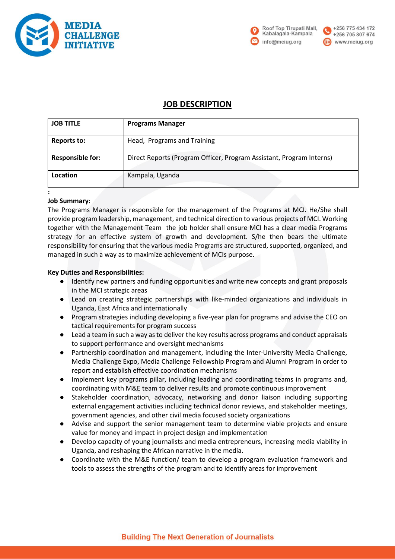



#### +256 775 434 172 +256 705 807 674 www.mciug.org

# **JOB DESCRIPTION**

| <b>JOB TITLE</b>        | <b>Programs Manager</b>                                              |
|-------------------------|----------------------------------------------------------------------|
| Reports to:             | Head, Programs and Training                                          |
| <b>Responsible for:</b> | Direct Reports (Program Officer, Program Assistant, Program Interns) |
| Location                | Kampala, Uganda                                                      |

## **:**

#### **Job Summary:**

The Programs Manager is responsible for the management of the Programs at MCI. He/She shall provide program leadership, management, and technical direction to various projects of MCI. Working together with the Management Team the job holder shall ensure MCI has a clear media Programs strategy for an effective system of growth and development. S/he then bears the ultimate responsibility for ensuring that the various media Programs are structured, supported, organized, and managed in such a way as to maximize achievement of MCIs purpose.

#### **Key Duties and Responsibilities:**

- Identify new partners and funding opportunities and write new concepts and grant proposals in the MCI strategic areas
- Lead on creating strategic partnerships with like-minded organizations and individuals in Uganda, East Africa and internationally
- Program strategies including developing a five-year plan for programs and advise the CEO on tactical requirements for program success
- Lead a team in such a way as to deliver the key results across programs and conduct appraisals to support performance and oversight mechanisms
- Partnership coordination and management, including the Inter-University Media Challenge, Media Challenge Expo, Media Challenge Fellowship Program and Alumni Program in order to report and establish effective coordination mechanisms
- Implement key programs pillar, including leading and coordinating teams in programs and, coordinating with M&E team to deliver results and promote continuous improvement
- Stakeholder coordination, advocacy, networking and donor liaison including supporting external engagement activities including technical donor reviews, and stakeholder meetings, government agencies, and other civil media focused society organizations
- Advise and support the senior management team to determine viable projects and ensure value for money and impact in project design and implementation
- Develop capacity of young journalists and media entrepreneurs, increasing media viability in Uganda, and reshaping the African narrative in the media.
- Coordinate with the M&E function/ team to develop a program evaluation framework and tools to assess the strengths of the program and to identify areas for improvement